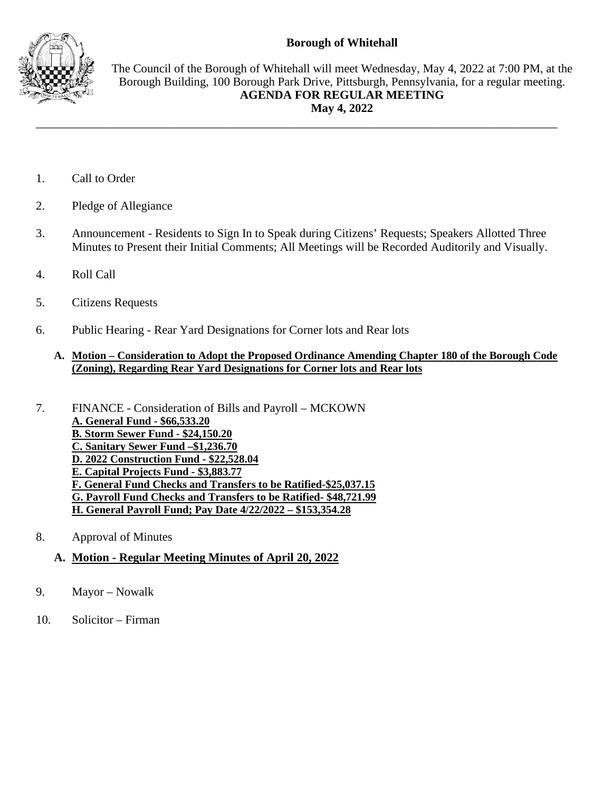## **Borough of Whitehall**



The Council of the Borough of Whitehall will meet Wednesday, May 4, 2022 at 7:00 PM, at the Borough Building, 100 Borough Park Drive, Pittsburgh, Pennsylvania, for a regular meeting. **AGENDA FOR REGULAR MEETING May 4, 2022**

- 1. Call to Order
- 2. Pledge of Allegiance
- 3. Announcement Residents to Sign In to Speak during Citizens' Requests; Speakers Allotted Three Minutes to Present their Initial Comments; All Meetings will be Recorded Auditorily and Visually.

\_\_\_\_\_\_\_\_\_\_\_\_\_\_\_\_\_\_\_\_\_\_\_\_\_\_\_\_\_\_\_\_\_\_\_\_\_\_\_\_\_\_\_\_\_\_\_\_\_\_\_\_\_\_\_\_\_\_\_\_\_\_\_\_\_\_\_\_\_\_\_\_\_\_\_\_\_\_\_\_\_\_\_\_\_\_\_

- 4. Roll Call
- 5. Citizens Requests
- 6. Public Hearing Rear Yard Designations for Corner lots and Rear lots

#### **A. Motion – Consideration to Adopt the Proposed Ordinance Amending Chapter 180 of the Borough Code (Zoning), Regarding Rear Yard Designations for Corner lots and Rear lots**

- 7. FINANCE Consideration of Bills and Payroll MCKOWN **A. General Fund - \$66,533.20 B. Storm Sewer Fund - \$24,150.20 C. Sanitary Sewer Fund –\$1,236.70 D. 2022 Construction Fund - \$22,528.04 E. Capital Projects Fund - \$3,883.77 F. General Fund Checks and Transfers to be Ratified-\$25,037.15 G. Payroll Fund Checks and Transfers to be Ratified- \$48,721.99 H. General Payroll Fund; Pay Date 4/22/2022 – \$153,354.28**
- 8. Approval of Minutes

# **A. Motion - Regular Meeting Minutes of April 20, 2022**

- 9. Mayor Nowalk
- 10. Solicitor Firman